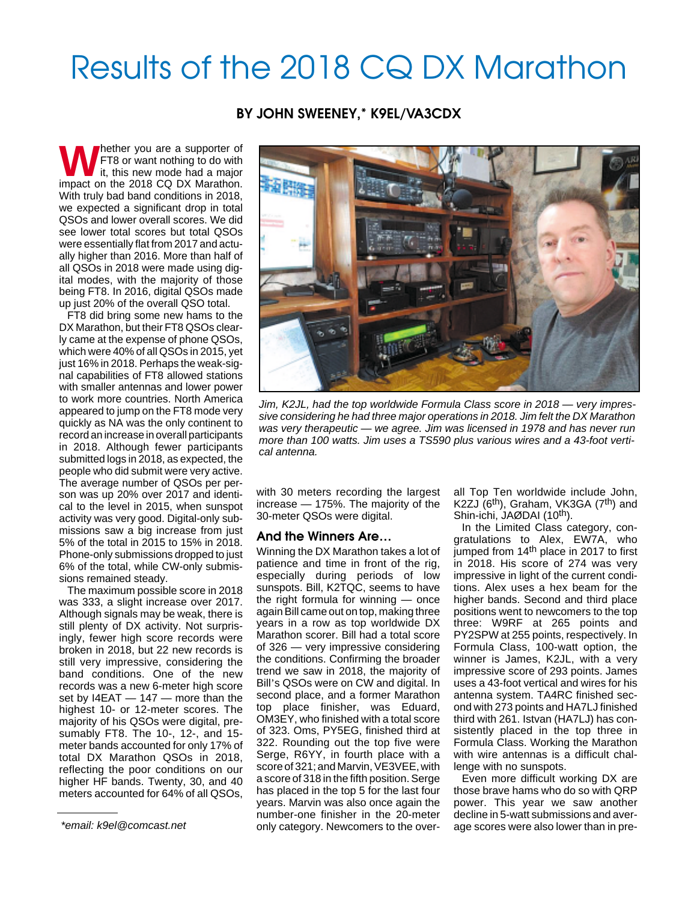# Results of the 2018 CQ DX Marathon

**BY JOHN SWEENEY,\* K9EL/VA3CDX**

**W**hether you are a supporter of FT8 or want nothing to do with it, this new mode had a major impact on the 2018 CQ DX Marathon. With truly bad band conditions in 2018, we expected a significant drop in total QSOs and lower overall scores. We did see lower total scores but total QSOs were essentially flat from 2017 and actually higher than 2016. More than half of all QSOs in 2018 were made using digital modes, with the majority of those being FT8. In 2016, digital QSOs made up just 20% of the overall QSO total.

FT8 did bring some new hams to the DX Marathon, but their FT8 QSOs clearly came at the expense of phone QSOs, which were 40% of all QSOs in 2015, yet just 16% in 2018. Perhaps the weak-signal capabilities of FT8 allowed stations with smaller antennas and lower power to work more countries. North America appeared to jump on the FT8 mode very quickly as NA was the only continent to record an increase in overall participants in 2018. Although fewer participants submitted logs in 2018, as expected, the people who did submit were very active. The average number of QSOs per person was up 20% over 2017 and identical to the level in 2015, when sunspot activity was very good. Digital-only submissions saw a big increase from just 5% of the total in 2015 to 15% in 2018. Phone-only submissions dropped to just 6% of the total, while CW-only submissions remained steady.

The maximum possible score in 2018 was 333, a slight increase over 2017. Although signals may be weak, there is still plenty of DX activity. Not surprisingly, fewer high score records were broken in 2018, but 22 new records is still very impressive, considering the band conditions. One of the new records was a new 6-meter high score set by I4EAT — 147 — more than the highest 10- or 12-meter scores. The majority of his QSOs were digital, presumably FT8. The 10-, 12-, and 15 meter bands accounted for only 17% of total DX Marathon QSOs in 2018, reflecting the poor conditions on our higher HF bands. Twenty, 30, and 40 meters accounted for 64% of all QSOs,



Jim, K2JL, had the top worldwide Formula Class score in 2018 — very impressive considering he had three major operations in 2018. Jim felt the DX Marathon was very therapeutic — we agree. Jim was licensed in 1978 and has never run more than 100 watts. Jim uses a TS590 plus various wires and a 43-foot vertical antenna.

with 30 meters recording the largest increase — 175%. The majority of the 30-meter QSOs were digital.

### **And the Winners Are…**

Winning the DX Marathon takes a lot of patience and time in front of the rig, especially during periods of low sunspots. Bill, K2TQC, seems to have the right formula for winning — once again Bill came out on top, making three years in a row as top worldwide DX Marathon scorer. Bill had a total score of 326 — very impressive considering the conditions. Confirming the broader trend we saw in 2018, the majority of Bill's QSOs were on CW and digital. In second place, and a former Marathon top place finisher, was Eduard, OM3EY, who finished with a total score of 323. Oms, PY5EG, finished third at 322. Rounding out the top five were Serge, R6YY, in fourth place with a score of 321; and Marvin, VE3VEE, with a score of 318 in the fifth position. Serge has placed in the top 5 for the last four years. Marvin was also once again the number-one finisher in the 20-meter \*email: k9el@comcast.net endly category. Newcomers to the over- age scores were also lower than in pre-

all Top Ten worldwide include John, K2ZJ (6th), Graham, VK3GA (7th) and Shin-ichi, JAØDAI (10<sup>th</sup>).

In the Limited Class category, congratulations to Alex, EW7A, who jumped from 14<sup>th</sup> place in 2017 to first in 2018. His score of 274 was very impressive in light of the current conditions. Alex uses a hex beam for the higher bands. Second and third place positions went to newcomers to the top three: W9RF at 265 points and PY2SPW at 255 points, respectively. In Formula Class, 100-watt option, the winner is James, K2JL, with a very impressive score of 293 points. James uses a 43-foot vertical and wires for his antenna system. TA4RC finished second with 273 points and HA7LJ finished third with 261. Istvan (HA7LJ) has consistently placed in the top three in Formula Class. Working the Marathon with wire antennas is a difficult challenge with no sunspots.

Even more difficult working DX are those brave hams who do so with QRP power. This year we saw another decline in 5-watt submissions and aver-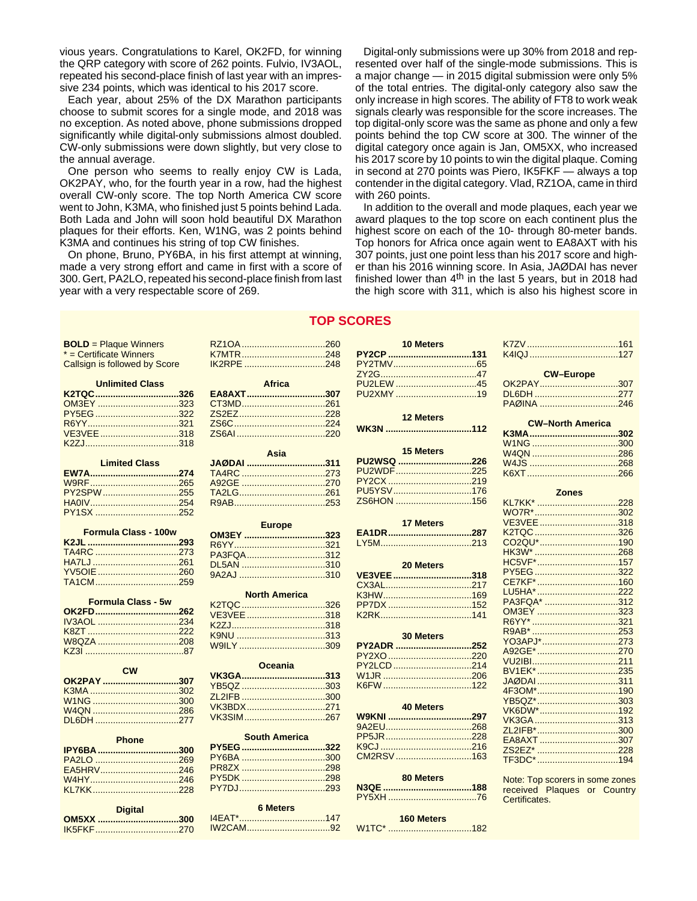vious years. Congratulations to Karel, OK2FD, for winning the QRP category with score of 262 points. Fulvio, IV3AOL, repeated his second-place finish of last year with an impressive 234 points, which was identical to his 2017 score.

Each year, about 25% of the DX Marathon participants choose to submit scores for a single mode, and 2018 was no exception. As noted above, phone submissions dropped significantly while digital-only submissions almost doubled. CW-only submissions were down slightly, but very close to the annual average.

One person who seems to really enjoy CW is Lada, OK2PAY, who, for the fourth year in a row, had the highest overall CW-only score. The top North America CW score went to John, K3MA, who finished just 5 points behind Lada. Both Lada and John will soon hold beautiful DX Marathon plaques for their efforts. Ken, W1NG, was 2 points behind K3MA and continues his string of top CW finishes.

On phone, Bruno, PY6BA, in his first attempt at winning, made a very strong effort and came in first with a score of 300. Gert, PA2LO, repeated his second-place finish from last year with a very respectable score of 269.

Digital-only submissions were up 30% from 2018 and represented over half of the single-mode submissions. This is a major change — in 2015 digital submission were only 5% of the total entries. The digital-only category also saw the only increase in high scores. The ability of FT8 to work weak signals clearly was responsible for the score increases. The top digital-only score was the same as phone and only a few points behind the top CW score at 300. The winner of the digital category once again is Jan, OM5XX, who increased his 2017 score by 10 points to win the digital plaque. Coming in second at 270 points was Piero, IK5FKF — always a top contender in the digital category. Vlad, RZ1OA, came in third with 260 points.

In addition to the overall and mode plaques, each year we award plaques to the top score on each continent plus the highest score on each of the 10- through 80-meter bands. Top honors for Africa once again went to EA8AXT with his 307 points, just one point less than his 2017 score and higher than his 2016 winning score. In Asia, JAØDAI has never finished lower than  $4<sup>th</sup>$  in the last 5 years, but in 2018 had the high score with 311, which is also his highest score in

## **TOP SCORES**

| <b>BOLD</b> = Plaque Winners  |
|-------------------------------|
| * = Certificate Winners       |
| Callsign is followed by Score |

| <b>Unlimited Class</b> |  |
|------------------------|--|
| K2TQC326               |  |
| OM3EY 323              |  |
|                        |  |
|                        |  |
|                        |  |
|                        |  |

| <b>Limited Class</b> |  |
|----------------------|--|
|                      |  |
|                      |  |
| PY2SPW255            |  |
|                      |  |
|                      |  |

| <b>Formula Class - 100w</b> |  |
|-----------------------------|--|
|                             |  |
|                             |  |
|                             |  |
| YV5OIE260                   |  |
|                             |  |

#### **Formula Class - 5w**

| OK2FD262          |  |
|-------------------|--|
| <u>IV3AOL</u> 234 |  |
|                   |  |
| W8OZA 208         |  |
|                   |  |

| <b>CW</b>  |  |
|------------|--|
| OK2PAY 307 |  |
|            |  |
|            |  |
|            |  |
|            |  |

| Phone      |  |
|------------|--|
| IPY6BA 300 |  |
|            |  |
|            |  |
|            |  |
|            |  |

| <b>Digital</b> |
|----------------|
| OM5XX 300      |
|                |

|      | IK2RPE 248    |
|------|---------------|
|      | <b>Africa</b> |
|      | EA8AXT307     |
|      |               |
|      |               |
|      |               |
|      |               |
|      |               |
| Asia |               |
|      | JAØDAI 311    |
|      | TA4RC 273     |
|      |               |

RZ1OA .................................260 K7MTR.................................248

| <b>Europe</b> |  |
|---------------|--|

| OM3EY 323 |  |
|-----------|--|
|           |  |
| PA3FQA312 |  |
| DL5AN 310 |  |
|           |  |
|           |  |

| <b>North America</b> |  |
|----------------------|--|
|                      |  |
| VE3VEE 318           |  |
|                      |  |
|                      |  |
| W9ILY 309            |  |

| Oceania    |  |  |
|------------|--|--|
|            |  |  |
|            |  |  |
| ZL2IFB 300 |  |  |
|            |  |  |
|            |  |  |

#### **South America**

| PY5EG322  |
|-----------|
| PY6BA 300 |
|           |
|           |
|           |
|           |

| <b>6 Meters</b> |  |
|-----------------|--|
|                 |  |
|                 |  |

| 10 Meters        |
|------------------|
|                  |
|                  |
|                  |
| PU2LEW 45        |
| PU2XMY 19        |
|                  |
|                  |
| 12 Meters        |
|                  |
| <b>15 Meters</b> |
| PU2WSQ 226       |
| PU2WDF225        |
|                  |
|                  |
| PU5YSV176        |
| ZS6HON 156       |
|                  |
| <b>17 Meters</b> |
| EA1DR287         |
|                  |
|                  |
|                  |
| 20 Meters        |
| VE3VEE 318       |
|                  |
|                  |
|                  |
|                  |
|                  |
| <b>30 Meters</b> |
|                  |
| PY2ADR 252       |
|                  |
| PY2LCD214        |
|                  |
|                  |
|                  |
| <b>40 Meters</b> |
| W9KNI 297        |
|                  |
|                  |
|                  |
| CM2RSV163        |

| 80 Meters  |  |
|------------|--|
|            |  |
|            |  |
| 160 Meters |  |

W1TC\* .................................182

|                   | -- |
|-------------------|----|
|                   |    |
| <b>160 Meters</b> |    |

| <b>CW-Europe</b>         |  |
|--------------------------|--|
| OK2PAY307                |  |
| DL6DH 277                |  |
| PAØINA 246               |  |
|                          |  |
| <b>CW-North America</b>  |  |
|                          |  |
|                          |  |
|                          |  |
|                          |  |
|                          |  |
|                          |  |
|                          |  |
| <b>Zones</b>             |  |
|                          |  |
| KL7KK* 228               |  |
| WO7R*302                 |  |
|                          |  |
| K2TQC 326                |  |
| CO2QU*190                |  |
| HK3W* 268                |  |
| HC5VF*157                |  |
| PY5EG 322                |  |
| CE7KF* 160               |  |
| LU5HA* 222               |  |
| PA3FQA* 312<br>OM3EY 323 |  |

| VE3VEE 318  |  |
|-------------|--|
| K2TQC 326   |  |
| CO2QU* 190  |  |
| HK3W* 268   |  |
| HC5VF*157   |  |
| PY5EG322    |  |
| CE7KF* 160  |  |
| LU5HA* 222  |  |
| PA3FQA* 312 |  |
| OM3EY 323   |  |
|             |  |
|             |  |
| YO3APJ*273  |  |
| A92GE* 270  |  |
|             |  |
| BV1EK* 235  |  |
| JAØDAI 311  |  |
| 4F3OM*190   |  |
| YB5QZ*303   |  |
| VK6DW*192   |  |
|             |  |
| ZL2IFB*300  |  |
| EA8AXT 307  |  |
| ZS2EZ* 228  |  |
| TF3DC* 194  |  |
|             |  |

Note: Top scorers in some zones received Plaques or Country Certificates.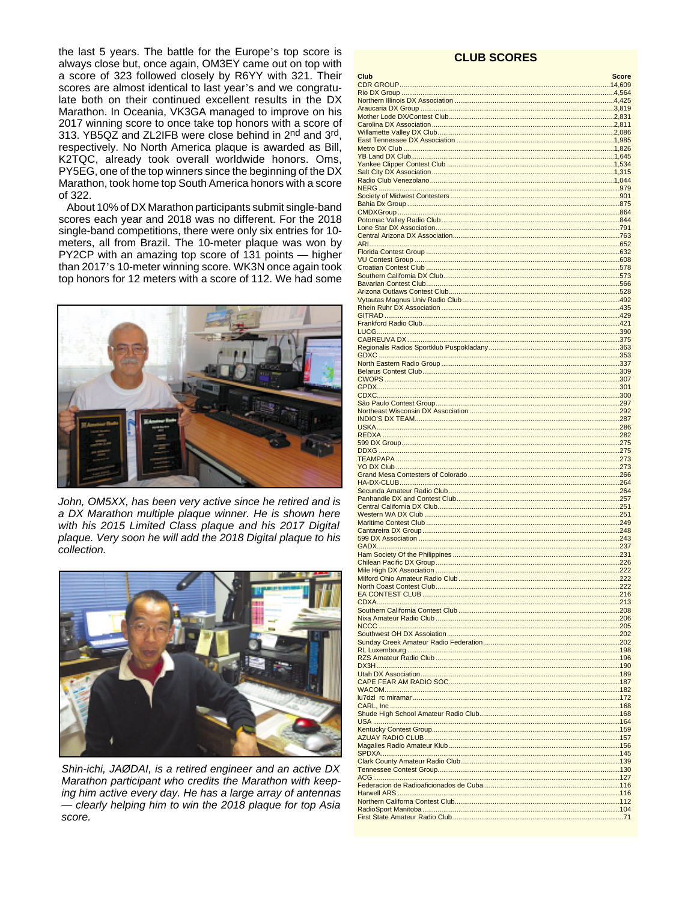the last 5 years. The battle for the Europe's top score is always close but, once again, OM3EY came out on top with a score of 323 followed closely by R6YY with 321. Their scores are almost identical to last year's and we congratulate both on their continued excellent results in the DX Marathon. In Oceania, VK3GA managed to improve on his 2017 winning score to once take top honors with a score of 313. YB5QZ and ZL2IFB were close behind in 2<sup>nd</sup> and 3<sup>rd</sup>, respectively. No North America plaque is awarded as Bill, K2TQC, already took overall worldwide honors. Oms, PY5EG, one of the top winners since the beginning of the DX Marathon, took home top South America honors with a score of 322.

About 10% of DX Marathon participants submit single-band scores each year and 2018 was no different. For the 2018 single-band competitions, there were only six entries for 10meters, all from Brazil. The 10-meter plaque was won by PY2CP with an amazing top score of 131 points - higher than 2017's 10-meter winning score. WK3N once again took top honors for 12 meters with a score of 112. We had some



John, OM5XX, has been very active since he retired and is a DX Marathon multiple plaque winner. He is shown here with his 2015 Limited Class plaque and his 2017 Digital plaque. Very soon he will add the 2018 Digital plaque to his collection.



Shin-ichi, JAØDAI, is a retired engineer and an active DX Marathon participant who credits the Marathon with keeping him active every day. He has a large array of antennas - clearly helping him to win the 2018 plaque for top Asia score.

## **CLUB SCORES**

| Club                            | <b>Score</b> |
|---------------------------------|--------------|
|                                 |              |
|                                 |              |
|                                 |              |
|                                 |              |
|                                 |              |
|                                 |              |
|                                 |              |
|                                 |              |
|                                 |              |
|                                 |              |
|                                 |              |
|                                 |              |
|                                 |              |
|                                 |              |
|                                 |              |
|                                 |              |
|                                 |              |
|                                 |              |
|                                 |              |
|                                 |              |
|                                 |              |
|                                 |              |
|                                 |              |
|                                 |              |
|                                 |              |
|                                 |              |
|                                 |              |
|                                 |              |
|                                 |              |
|                                 |              |
|                                 |              |
|                                 |              |
|                                 |              |
|                                 |              |
|                                 |              |
|                                 |              |
|                                 |              |
|                                 |              |
|                                 |              |
|                                 |              |
|                                 |              |
|                                 |              |
|                                 |              |
|                                 |              |
|                                 |              |
|                                 |              |
|                                 |              |
|                                 |              |
|                                 |              |
|                                 |              |
|                                 |              |
|                                 |              |
| Milford Ohio Amateur Radio Club |              |
|                                 |              |
|                                 |              |
|                                 |              |
|                                 |              |
|                                 |              |
|                                 |              |
|                                 |              |
|                                 |              |
|                                 |              |
|                                 |              |
|                                 |              |
|                                 |              |
|                                 |              |
|                                 |              |
|                                 |              |
|                                 |              |
|                                 |              |
|                                 |              |
|                                 |              |
|                                 |              |
|                                 |              |
|                                 |              |
|                                 |              |
|                                 |              |
|                                 |              |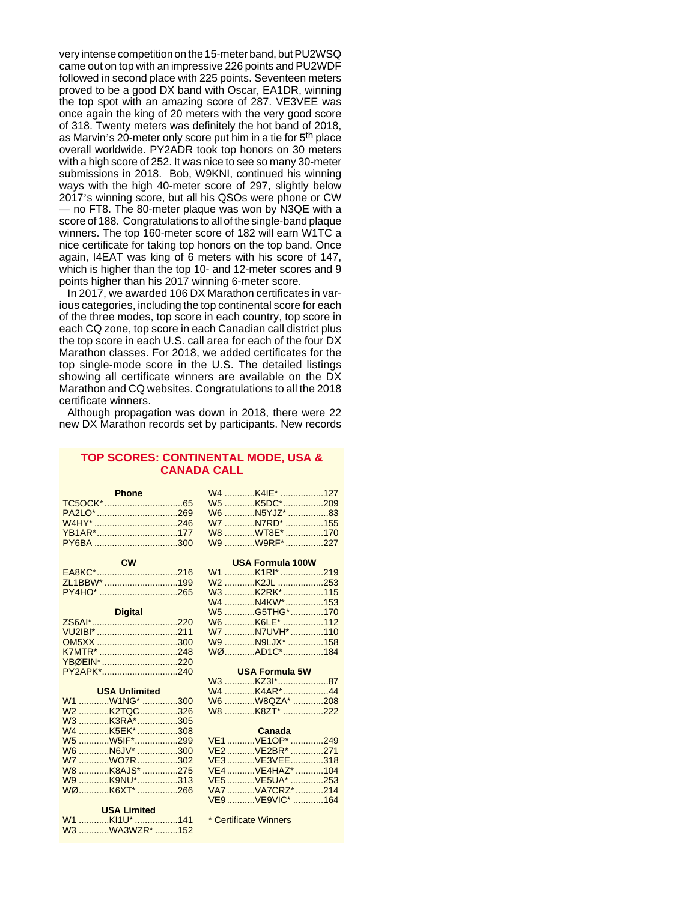very intense competition on the 15-meter band, but PU2WSQ came out on top with an impressive 226 points and PU2WDF followed in second place with 225 points. Seventeen meters proved to be a good DX band with Oscar, EA1DR, winning the top spot with an amazing score of 287. VE3VEE was once again the king of 20 meters with the very good score of 318. Twenty meters was definitely the hot band of 2018, as Marvin's 20-meter only score put him in a tie for 5<sup>th</sup> place overall worldwide. PY2ADR took top honors on 30 meters with a high score of 252. It was nice to see so many 30-meter submissions in 2018. Bob, W9KNI, continued his winning ways with the high 40-meter score of 297, slightly below 2017's winning score, but all his QSOs were phone or CW — no FT8. The 80-meter plaque was won by N3QE with a score of 188. Congratulations to all of the single-band plaque winners. The top 160-meter score of 182 will earn W1TC a nice certificate for taking top honors on the top band. Once again, I4EAT was king of 6 meters with his score of 147, which is higher than the top 10- and 12-meter scores and 9 points higher than his 2017 winning 6-meter score.

In 2017, we awarded 106 DX Marathon certificates in various categories, including the top continental score for each of the three modes, top score in each country, top score in each CQ zone, top score in each Canadian call district plus the top score in each U.S. call area for each of the four DX Marathon classes. For 2018, we added certificates for the top single-mode score in the U.S. The detailed listings showing all certificate winners are available on the DX Marathon and CQ websites. Congratulations to all the 2018 certificate winners.

Although propagation was down in 2018, there were 22 new DX Marathon records set by participants. New records

## **TOP SCORES: CONTINENTAL MODE, USA & CANADA CALL**

| <b>Phone</b><br><b>Contract Contract</b> |  |  |
|------------------------------------------|--|--|
|                                          |  |  |
|                                          |  |  |
|                                          |  |  |
|                                          |  |  |
|                                          |  |  |

| <b>CW</b>   |  |
|-------------|--|
|             |  |
| ZL1BBW* 199 |  |
|             |  |

#### **Digital** ZS6AI\*..................................220 VU2IBI\* .................................. OM5XX .................................. K7MTR\* ................................. YBØEIN\* ..............................220 PY2APK\*..............................

| OM5XX 300 W9 N9LJX* 158         |                      |                                  |  |
|---------------------------------|----------------------|----------------------------------|--|
|                                 |                      |                                  |  |
| YBØEIN* 220                     |                      |                                  |  |
| PY2APK*240                      |                      | <b>Example 19 USA Formula 5W</b> |  |
|                                 |                      | W3 KZ3I*87                       |  |
| <b>Example 19 USA Unlimited</b> |                      |                                  |  |
| W1 W1NG* 300                    |                      | W6 W8QZA* 208                    |  |
|                                 |                      |                                  |  |
|                                 |                      |                                  |  |
| W4 K5EK* 308                    | <b>Canada</b> Canada |                                  |  |
|                                 |                      |                                  |  |

| W5 W5IF <sup>*</sup> 299 |  |
|--------------------------|--|
| W6 N6JV* 300             |  |
| W7 WO7R 302              |  |
| W8 K8AJS* 275            |  |
| W9 K9NU*313              |  |
|                          |  |
| WØK6XT*266               |  |

#### **USA Limited**

| W1 KI1U* 141   |  |
|----------------|--|
| W3 WA3WZR* 152 |  |

\* Certificate Winners

**USA Formula 100W**

| W1 K1RI* 219              |  |
|---------------------------|--|
| W2 K2JL 253               |  |
| W3 K2RK <sup>*</sup> 115  |  |
| W4 N4KW*153               |  |
| W5 G5THG* 170             |  |
| W6 K6LE <sup>*</sup> 112  |  |
| W7 N7UVH* 110             |  |
| W9 N9LJX <sup>*</sup> 158 |  |
| WØAD1C*184                |  |

# **USA Formula 5W**

| W4 K4AR*44    |  |
|---------------|--|
| W6 W8QZA* 208 |  |
| W8 K8ZT* 222  |  |
|               |  |

| VE1VE1OP*249    |  |
|-----------------|--|
| VE2VE2BR* 271   |  |
| VE3VE3VEE318    |  |
| VE4 VE4HAZ* 104 |  |
| VE5 VE5UA* 253  |  |
| VA7 VA7CRZ* 214 |  |
| VE9VE9VIC* 164  |  |
|                 |  |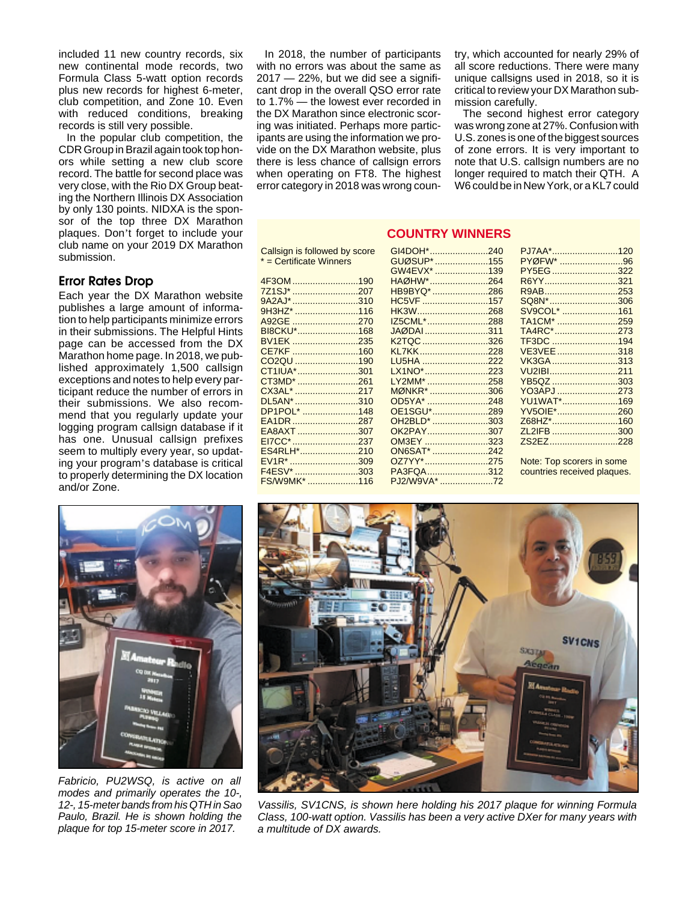included 11 new country records, six new continental mode records, two Formula Class 5-watt option records plus new records for highest 6-meter, club competition, and Zone 10. Even with reduced conditions, breaking records is still very possible.

In the popular club competition, the CDR Group in Brazil again took top honors while setting a new club score record. The battle for second place was very close, with the Rio DX Group beating the Northern Illinois DX Association by only 130 points. NIDXA is the sponsor of the top three DX Marathon plaques. Don't forget to include your club name on your 2019 DX Marathon submission.

## **Error Rates Drop**

Each year the DX Marathon website publishes a large amount of information to help participants minimize errors in their submissions. The Helpful Hints page can be accessed from the DX Marathon home page. In 2018, we published approximately 1,500 callsign exceptions and notes to help every participant reduce the number of errors in their submissions. We also recommend that you regularly update your logging program callsign database if it has one. Unusual callsign prefixes seem to multiply every year, so updating your program's database is critical to properly determining the DX location and/or Zone.

In 2018, the number of participants with no errors was about the same as  $2017 - 22\%$ , but we did see a significant drop in the overall QSO error rate to 1.7% — the lowest ever recorded in the DX Marathon since electronic scoring was initiated. Perhaps more participants are using the information we provide on the DX Marathon website, plus there is less chance of callsign errors when operating on FT8. The highest error category in 2018 was wrong country, which accounted for nearly 29% of all score reductions. There were many unique callsigns used in 2018, so it is critical to review your DX Marathon submission carefully.

The second highest error category was wrong zone at 27%. Confusion with U.S. zones is one of the biggest sources of zone errors. It is very important to note that U.S. callsign numbers are no longer required to match their QTH. A W6 could be in New York, or a KL7 could

# **COUNTRY WINNERS**

| Callsign is followed by score | GI4DOH              |
|-------------------------------|---------------------|
| * = Certificate Winners       | <b>GUØSL</b>        |
|                               | GW4EV               |
| 4F3OM 190                     | <b>HAØHV</b>        |
| 7Z1SJ* 207                    | HB9BY               |
| 9A2AJ* 310                    | HC5VF               |
| 9H3HZ* 116                    | HK3W                |
| A92GE 270                     | <b>IZ5CML</b>       |
| BI8CKU*168                    | <b>JAØDA</b>        |
| BV1EK 235                     | K <sub>2</sub> TQC  |
| CE7KF 160                     | KI 7KK.             |
| CO2QU 190                     | LU5HA               |
| CT1IUA*301                    | LX1NO <sup>*</sup>  |
| CT3MD* 261                    | LY2MM               |
| CX3AL* 217                    | <b>MØNKR</b>        |
| DL5AN* 310                    | OD5YA <sup>®</sup>  |
| DP1POL* 148                   | OE1SG               |
| EA1DR 287                     | OH <sub>2</sub> BII |
| EA8AXT307                     | OK2PA               |
| EI7CC* 237                    | <b>OM3EY</b>        |
| ES4RLH*210                    | ON6SA <sup>®</sup>  |
| EV1R* 309                     | OZ7YY*              |
| F4ESV* 303                    | PA3FQ               |
| FS/W9MK* 116                  | <b>PJ2/W9</b>       |

| GI4DOH* 240       | PJ7AA*120                   |  |
|-------------------|-----------------------------|--|
| GUØSUP* 155       | PYØFW* 96                   |  |
| GW4EVX* 139       | PY5EG322                    |  |
| HAØHW* 264        | R6YY321                     |  |
| HB9BYQ* 286       | R9AB253                     |  |
| HC5VF 157         | SQ8N*306                    |  |
| HK3W268           | SV9COL <sup>*</sup> 161     |  |
| IZ5CML*288        | TA1CM* 259                  |  |
| <u>JAØDAI 311</u> | TA4RC*273                   |  |
| K2TQC 326         | TF3DC 194                   |  |
| KL7KK228          | VE3VEE318                   |  |
| LU5HA 222         | VK3GA313                    |  |
| LX1NO*223         | VU2IBI211                   |  |
| LY2MM* 258        | YB5QZ 303                   |  |
| MØNKR* 306        | YO3APJ273                   |  |
| OD5YA* 248        | YU1WAT*169                  |  |
| OE1SGU*289        | YV5OIE*260                  |  |
| OH2BLD* 303       | Z68HZ*160                   |  |
| OK2PAY307         | ZL2IFB 300                  |  |
| OM3EY 323         | ZS2EZ228                    |  |
| ON6SAT* 242       |                             |  |
| OZ7YY*275         | Note: Top scorers in some   |  |
| PA3FQA312         | countries received plaques. |  |
| PJ2/W9VA* 72      |                             |  |



Fabricio, PU2WSQ, is active on all modes and primarily operates the 10-, 12-, 15-meter bands from his QTH in Sao Paulo, Brazil. He is shown holding the plaque for top 15-meter score in 2017.



Vassilis, SV1CNS, is shown here holding his 2017 plaque for winning Formula Class, 100-watt option. Vassilis has been a very active DXer for many years with a multitude of DX awards.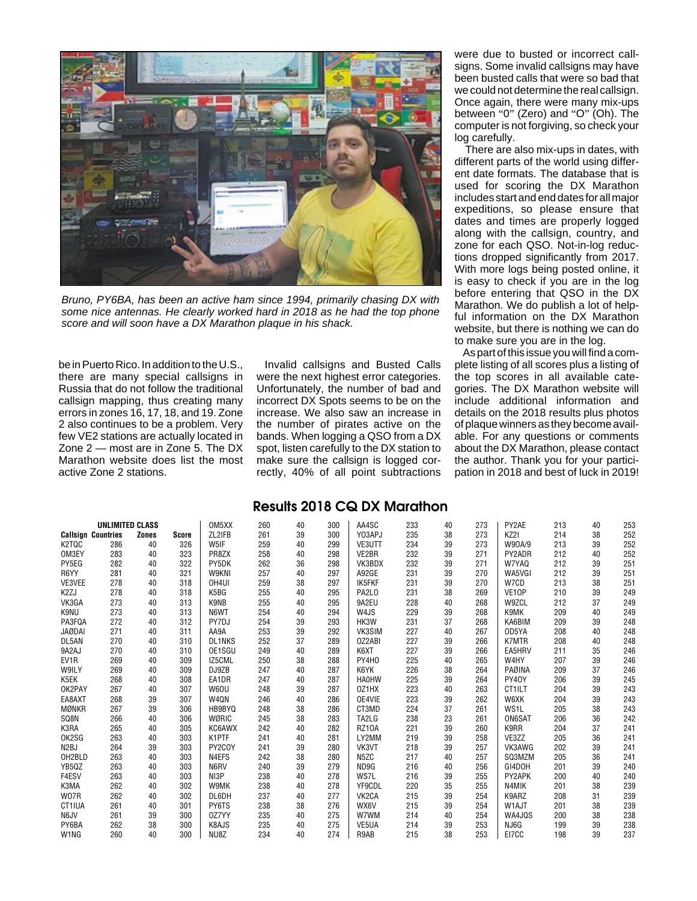

Bruno, PY6BA, has been an active ham since 1994, primarily chasing DX with some nice antennas. He clearly worked hard in 2018 as he had the top phone score and will soon have a DX Marathon plaque in his shack.

be in Puerto Rico. In addition to the U.S., there are many special callsigns in Russia that do not follow the traditional callsign mapping, thus creating many errors in zones 16, 17, 18, and 19. Zone 2 also continues to be a problem. Very few VE2 stations are actually located in Zone 2 — most are in Zone 5. The DX Marathon website does list the most active Zone 2 stations.

Invalid callsigns and Busted Calls were the next highest error categories. Unfortunately, the number of bad and incorrect DX Spots seems to be on the increase. We also saw an increase in the number of pirates active on the bands. When logging a QSO from a DX spot, listen carefully to the DX station to make sure the callsign is logged correctly, 40% of all point subtractions

were due to busted or incorrect callsigns. Some invalid callsigns may have been busted calls that were so bad that we could not determine the real callsign. Once again, there were many mix-ups between "0" (Zero) and "O" (Oh). The computer is not forgiving, so check your log carefully.

There are also mix-ups in dates, with different parts of the world using different date formats. The database that is used for scoring the DX Marathon includes start and end dates for all major expeditions, so please ensure that dates and times are properly logged along with the callsign, country, and zone for each QSO. Not-in-log reductions dropped significantly from 2017. With more logs being posted online, it is easy to check if you are in the log before entering that QSO in the DX Marathon. We do publish a lot of helpful information on the DX Marathon website, but there is nothing we can do to make sure you are in the log.

As part of this issue you will find a complete listing of all scores plus a listing of the top scores in all available categories. The DX Marathon website will include additional information and details on the 2018 results plus photos of plaque winners as they become available. For any questions or comments about the DX Marathon, please contact the author. Thank you for your participation in 2018 and best of luck in 2019!

# **Results 2018 CQ DX Marathon**

|                               | <b>UNLIMITED CLASS</b>    |              |       | OM <sub>5</sub> XX | 260 | 40 | 300 | AA4SC                          | 233 | 40 | 273 | PY2AE              | 213 | 40 | 253 |
|-------------------------------|---------------------------|--------------|-------|--------------------|-----|----|-----|--------------------------------|-----|----|-----|--------------------|-----|----|-----|
|                               | <b>Callsign Countries</b> | <b>Zones</b> | Score | ZL2IFB             | 261 | 39 | 300 | Y03APJ                         | 235 | 38 | 273 | KZ2I               | 214 | 38 | 252 |
| K2TQC                         | 286                       | 40           | 326   | W5IF               | 259 | 40 | 299 | VE3UTT                         | 234 | 39 | 273 | W90A/9             | 213 | 39 | 252 |
| OM3EY                         | 283                       | 40           | 323   | PR8ZX              | 258 | 40 | 298 | VE2BR                          | 232 | 39 | 271 | PY2ADR             | 212 | 40 | 252 |
| PY5EG                         | 282                       | 40           | 322   | PY5DK              | 262 | 36 | 298 | VK3BDX                         | 232 | 39 | 271 | W7YA0              | 212 | 39 | 251 |
| R6YY                          | 281                       | 40           | 321   | W9KNI              | 257 | 40 | 297 | A92GE                          | 231 | 39 | 270 | WA5VGI             | 212 | 39 | 251 |
| VE3VEE                        | 278                       | 40           | 318   | OH4UI              | 259 | 38 | 297 | IK5FKF                         | 231 | 39 | 270 | W7CD               | 213 | 38 | 251 |
| K <sub>2</sub> ZJ             | 278                       | 40           | 318   | K5BG               | 255 | 40 | 295 | PA <sub>2</sub> L <sub>0</sub> | 231 | 38 | 269 | VE <sub>10</sub> P | 210 | 39 | 249 |
| VK3GA                         | 273                       | 40           | 313   | K9NB               | 255 | 40 | 295 | 9A2EU                          | 228 | 40 | 268 | W9ZCL              | 212 | 37 | 249 |
| K9NU                          | 273                       | 40           | 313   | N6WT               | 254 | 40 | 294 | W4JS                           | 229 | 39 | 268 | K9MK               | 209 | 40 | 249 |
| PA3FQA                        | 272                       | 40           | 312   | PY7DJ              | 254 | 39 | 293 | HK3W                           | 231 | 37 | 268 | KA6BIM             | 209 | 39 | 248 |
| <b>JAØDAI</b>                 | 271                       | 40           | 311   | AA9A               | 253 | 39 | 292 | VK3SIM                         | 227 | 40 | 267 | OD5YA              | 208 | 40 | 248 |
| DL5AN                         | 270                       | 40           | 310   | <b>DL1NKS</b>      | 252 | 37 | 289 | OZ2ABI                         | 227 | 39 | 266 | <b>K7MTR</b>       | 208 | 40 | 248 |
| 9A2AJ                         | 270                       | 40           | 310   | OE1SGU             | 249 | 40 | 289 | K6XT                           | 227 | 39 | 266 | EA5HRV             | 211 | 35 | 246 |
| EV1R                          | 269                       | 40           | 309   | IZ5CML             | 250 | 38 | 288 | PY4HO                          | 225 | 40 | 265 | W4HY               | 207 | 39 | 246 |
| W9ILY                         | 269                       | 40           | 309   | DJ9ZB              | 247 | 40 | 287 | K6YK                           | 226 | 38 | 264 | PAØINA             | 209 | 37 | 246 |
| K5EK                          | 268                       | 40           | 308   | EA1DR              | 247 | 40 | 287 | <b>HA0HW</b>                   | 225 | 39 | 264 | PY40Y              | 206 | 39 | 245 |
| OK2PAY                        | 267                       | 40           | 307   | W6OU               | 248 | 39 | 287 | OZ1HX                          | 223 | 40 | 263 | CT1ILT             | 204 | 39 | 243 |
| EA8AXT                        | 268                       | 39           | 307   | W4QN               | 246 | 40 | 286 | OE4VIE                         | 223 | 39 | 262 | W6XK               | 204 | 39 | 243 |
| <b>MØNKR</b>                  | 267                       | 39           | 306   | HB9BYQ             | 248 | 38 | 286 | CT3MD                          | 224 | 37 | 261 | WS <sub>1</sub> L  | 205 | 38 | 243 |
| SQ8N                          | 266                       | 40           | 306   | WØRIC              | 245 | 38 | 283 | TA2LG                          | 238 | 23 | 261 | ON6SAT             | 206 | 36 | 242 |
| K3RA                          | 265                       | 40           | 305   | KC6AWX             | 242 | 40 | 282 | <b>RZ10A</b>                   | 221 | 39 | 260 | K9RR               | 204 | 37 | 241 |
| OK2SG                         | 263                       | 40           | 303   | K1PTF              | 241 | 40 | 281 | LY2MM                          | 219 | 39 | 258 | VE3ZZ              | 205 | 36 | 241 |
| N <sub>2</sub> BJ             | 264                       | 39           | 303   | PY2COY             | 241 | 39 | 280 | VK3VT                          | 218 | 39 | 257 | VK3AWG             | 202 | 39 | 241 |
| OH2BLD                        | 263                       | 40           | 303   | N4EFS              | 242 | 38 | 280 | N <sub>5</sub> ZC              | 217 | 40 | 257 | SQ3MZM             | 205 | 36 | 241 |
| YB5QZ                         | 263                       | 40           | 303   | N6RV               | 240 | 39 | 279 | ND9G                           | 216 | 40 | 256 | GI4DOH             | 201 | 39 | 240 |
| F4ESV                         | 263                       | 40           | 303   | NI3P               | 238 | 40 | 278 | WS7L                           | 216 | 39 | 255 | PY2APK             | 200 | 40 | 240 |
| K3MA                          | 262                       | 40           | 302   | W9MK               | 238 | 40 | 278 | YF9CDL                         | 220 | 35 | 255 | N4MIK              | 201 | 38 | 239 |
| W07R                          | 262                       | 40           | 302   | DL6DH              | 237 | 40 | 277 | VK <sub>2</sub> CA             | 215 | 39 | 254 | K9ARZ              | 208 | 31 | 239 |
| CT1IUA                        | 261                       | 40           | 301   | PY6TS              | 238 | 38 | 276 | WX6V                           | 215 | 39 | 254 | W1AJT              | 201 | 38 | 239 |
| N6JV                          | 261                       | 39           | 300   | 0Z7YY              | 235 | 40 | 275 | W7WM                           | 214 | 40 | 254 | WA4JQS             | 200 | 38 | 238 |
| PY6BA                         | 262                       | 38           | 300   | K8AJS              | 235 | 40 | 275 | VE5UA                          | 214 | 39 | 253 | NJ6G               | 199 | 39 | 238 |
| W <sub>1</sub> N <sub>G</sub> | 260                       | 40           | 300   | NU8Z               | 234 | 40 | 274 | R9AB                           | 215 | 38 | 253 | E17CC              | 198 | 39 | 237 |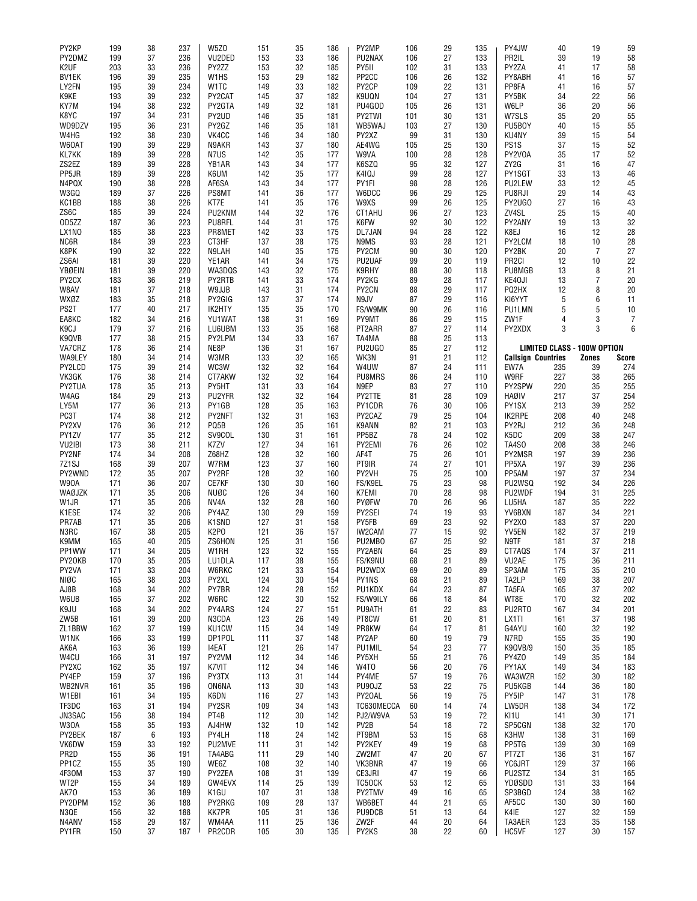| PY2KP              | 199        | 38       | 237        | W <sub>5</sub> Z <sub>0</sub> | 151        | 35       | 186        | PY2MP              | 106      | 29       | 135      | PY4JW                     | 40                                 | 19             | 59         |
|--------------------|------------|----------|------------|-------------------------------|------------|----------|------------|--------------------|----------|----------|----------|---------------------------|------------------------------------|----------------|------------|
| PY2DMZ             | 199        | 37       | 236        | VU2DED                        | 153        | 33       | 186        | PU2NAX             | 106      | 27       | 133      | PR2IL                     | 39                                 | 19             | 58         |
|                    |            |          |            |                               |            |          |            |                    |          |          |          |                           |                                    |                |            |
| K <sub>2</sub> UF  | 203        | 33       | 236        | PY2ZZ                         | 153        | 32       | 185        | PY5II              | 102      | 31       | 133      | PY2ZA                     | 41                                 | 17             | 58         |
| <b>BV1EK</b>       | 196        | 39       | 235        | W <sub>1</sub> H <sub>S</sub> | 153        | 29       | 182        | PP <sub>2</sub> CC | 106      | 26       | 132      | PY8ABH                    | 41                                 | 16             | 57         |
| LY2FN              | 195        | 39       | 234        | W <sub>1</sub> TC             | 149        | 33       | 182        | PY2CP              | 109      | 22       | 131      | PP8FA                     | 41                                 | 16             | 57         |
| K9KE               | 193        | 39       | 232        | PY2CAT                        | 145        | 37       | 182        | K9UQN              | 104      | 27       | 131      | PY5BK                     | 34                                 | 22             | 56         |
|                    |            |          | 232        | PY2GTA                        | 149        | 32       | 181        | PU4GOD             | 105      |          |          |                           | 36                                 | 20             |            |
| KY7M               | 194        | 38       |            |                               |            |          |            |                    |          | 26       | 131      | W6LP                      |                                    |                | 56         |
| K8YC               | 197        | 34       | 231        | PY2UD                         | 146        | 35       | 181        | PY2TWI             | 101      | 30       | 131      | W7SLS                     | 35                                 | 20             | 55         |
| WD9DZV             | 195        | 36       | 231        | PY2GZ                         | 146        | 35       | 181        | WB5WAJ             | 103      | 27       | 130      | PU5B0Y                    | 40                                 | 15             | 55         |
| W4HG               | 192        | 38       | 230        | VK4CC                         | 146        | 34       | 180        | PY2XZ              | 99       | 31       | 130      | KU4NY                     | 39                                 | 15             | 54         |
| W60AT              | 190        | 39       | 229        | N9AKR                         | 143        | 37       | 180        | AE4WG              | 105      | 25       | 130      | PS <sub>1</sub> S         | 37                                 | 15             | 52         |
|                    |            |          |            |                               |            |          |            |                    |          |          |          |                           |                                    |                |            |
| KL7KK              | 189        | 39       | 228        | N7US                          | 142        | 35       | 177        | W9VA               | 100      | 28       | 128      | PY2V0A                    | 35                                 | 17             | 52         |
| ZS2EZ              | 189        | 39       | 228        | YB1AR                         | 143        | 34       | 177        | K6SZQ              | 95       | 32       | 127      | ZY <sub>2G</sub>          | 31                                 | 16             | 47         |
| PP5JR              | 189        | 39       | 228        | K6UM                          | 142        | 35       | 177        | K4IQJ              | 99       | 28       | 127      | PY1SGT                    | 33                                 | 13             | 46         |
| N4PQX              | 190        | 38       | 228        | AF6SA                         | 143        | 34       | 177        | PY1FI              | 98       | 28       | 126      | PU2LEW                    | 33                                 | 12             | 45         |
| W3GQ               | 189        | 37       | 226        | PS8MT                         | 141        | 36       | 177        | W6DCC              | 96       | 29       | 125      | PU8RJI                    | 29                                 | 14             | 43         |
|                    |            |          |            |                               |            |          |            |                    |          |          |          |                           |                                    |                |            |
| KC1BB              | 188        | 38       | 226        | KT7E                          | 141        | 35       | 176        | W9XS               | 99       | 26       | 125      | PY2UGO                    | 27                                 | 16             | 43         |
| ZS6C               | 185        | 39       | 224        | PU2KNM                        | 144        | 32       | 176        | CT1AHU             | 96       | 27       | 123      | ZV4SL                     | 25                                 | 15             | 40         |
| OD5ZZ              | 187        | 36       | 223        | PU8RFL                        | 144        | 31       | 175        | K6FW               | 92       | 30       | 122      | PY2ANY                    | 19                                 | 13             | 32         |
| LX1NO              | 185        | 38       | 223        | PR8MET                        | 142        | 33       | 175        | DL7JAN             | 94       | 28       | 122      | K8EJ                      | 16                                 | 12             | 28         |
| NC6R               | 184        | 39       | 223        | CT3HF                         | 137        | 38       | 175        | N9MS               | 93       | 28       | 121      | PY2LCM                    | 18                                 | 10             | 28         |
|                    |            |          |            |                               |            |          |            |                    |          |          |          |                           |                                    |                |            |
| K8PK               | 190        | 32       | 222        | N9LAH                         | 140        | 35       | 175        | PY2CM              | 90       | 30       | 120      | PY2BK                     | 20                                 | $\overline{7}$ | 27         |
| ZS6AI              | 181        | 39       | 220        | YE1AR                         | 141        | 34       | 175        | PU2UAF             | 99       | 20       | 119      | PR <sub>2CI</sub>         | 12                                 | 10             | 22         |
| YBØEIN             | 181        | 39       | 220        | WA3DQS                        | 143        | 32       | 175        | K9RHY              | 88       | 30       | 118      | PU8MGB                    | 13                                 | 8              | 21         |
| PY2CX              | 183        | 36       | 219        | PY2RTB                        | 141        | 33       | 174        | PY2KG              | 89       | 28       | 117      | KE40JI                    | 13                                 | 7              | 20         |
| W8AV               | 181        | 37       | 218        | W9JJB                         | 143        | 31       | 174        | PY2CN              | 88       | 29       | 117      | PQ2HX                     | 12                                 | 8              | 20         |
|                    |            |          |            |                               |            |          |            |                    |          |          |          |                           |                                    |                |            |
| WXØZ               | 183        | 35       | 218        | PY2GIG                        | 137        | 37       | 174        | N9JV               | 87       | 29       | 116      | KI6YYT                    | 5                                  | 6              | 11         |
| PS2T               | 177        | 40       | 217        | IK2HTY                        | 135        | 35       | 170        | FS/W9MK            | 90       | 26       | 116      | PU1LMN                    | 5                                  | 5              | 10         |
| EA8KC              | 182        | 34       | 216        | YU1WAT                        | 138        | 31       | 169        | PY9MT              | 86       | 29       | 115      | ZW1F                      | 4                                  | 3              | 7          |
| K <sub>9</sub> CJ  | 179        | 37       | 216        | LU6UBM                        | 133        | 35       | 168        | PT2ARR             | 87       | 27       | 114      | PY2XDX                    | 3                                  | 3              | 6          |
|                    |            |          |            |                               |            | 33       |            |                    |          | 25       |          |                           |                                    |                |            |
| K9QVB              | 177        | 38       | 215        | PY2LPM                        | 134        |          | 167        | TA4MA              | 88       |          | 113      |                           |                                    |                |            |
| VA7CRZ             | 178        | 36       | 214        | NE8P                          | 136        | 31       | 167        | PU2UGO             | 85       | 27       | 112      |                           | <b>LIMITED CLASS - 100W OPTION</b> |                |            |
| <b>WA9LEY</b>      | 180        | 34       | 214        | W3MR                          | 133        | 32       | 165        | WK3N               | 91       | 21       | 112      | <b>Callsign Countries</b> |                                    | <b>Zones</b>   | Score      |
| PY2LCD             | 175        | 39       | 214        | WC3W                          | 132        | 32       | 164        | W4UW               | 87       | 24       | 111      | EW7A                      | 235                                | 39             | 274        |
| VK3GK              | 176        | 38       | 214        | CT7AKW                        | 132        | 32       | 164        | PU8MRS             | 86       | 24       | 110      | W9RF                      | 227                                | 38             | 265        |
| PY2TUA             | 178        | 35       | 213        | PY5HT                         | 131        | 33       | 164        | N9EP               | 83       | 27       | 110      | PY2SPW                    | 220                                | 35             | 255        |
|                    |            |          |            |                               |            |          |            |                    |          |          |          |                           |                                    |                |            |
| W4AG               | 184        | 29       | 213        | PU2YFR                        | 132        | 32       | 164        | PY2TTE             | 81       | 28       | 109      | <b>HAØIV</b>              | 217                                | 37             | 254        |
| LY5M               | 177        | 36       | 213        | PY1GB                         | 128        | 35       | 163        | PY1CDR             | 76       | 30       | 106      | PY1SX                     | 213                                | 39             | 252        |
| PC3T               | 174        | 38       | 212        | PY2NFT                        | 132        | 31       | 163        | PY2CAZ             | 79       | 25       | 104      | IK2RPE                    | 208                                | 40             | 248        |
| PY2XV              | 176        | 36       | 212        | PQ5B                          | 126        | 35       | 161        | K9ANN              | 82       | 21       | 103      | PY2RJ                     | 212                                | 36             | 248        |
| PY1ZV              | 177        | 35       | 212        | SV9COL                        | 130        | 31       | 161        | PP5BZ              | 78       | 24       | 102      | K5DC                      | 209                                | 38             | 247        |
|                    |            |          |            |                               |            |          |            |                    |          |          |          |                           |                                    |                |            |
| VU2IBI             | 173        | 38       | 211        | K7ZV                          | 127        | 34       | 161        | PY2EMI             | 76       | 26       | 102      | TA4SO                     | 208                                | 38             | 246        |
| PY2NF              | 174        | 34       | 208        | Z68HZ                         | 128        | 32       | 160        | AF4T               | 75       | 26       | 101      | PY2MSR                    | 197                                | 39             | 236        |
| 7Z <sub>1</sub> SJ | 168        | 39       | 207        | W7RM                          | 123        | 37       | 160        | PT9IR              | 74       | 27       | 101      | PP5XA                     | 197                                | 39             | 236        |
| PY2WND             | 172        | 35       | 207        | PY2RF                         | 128        | 32       | 160        | PY2VH              | 75       | 25       | 100      | PP5AM                     | 197                                | 37             | 234        |
| <b>W90A</b>        | 171        | 36       | 207        | CE7KF                         | 130        | 30       | 160        | FS/K9EL            | 75       | 23       | 98       | PU2WSQ                    | 192                                | 34             | 226        |
|                    |            |          |            |                               |            |          |            |                    |          |          |          |                           |                                    |                |            |
| WAØJZK             | 171        | 35       | 206        | <b>NUØC</b>                   | 126        | 34       | 160        | K7EMI              | 70       | 28       | 98       | PU2WDF                    | 194                                | 31             | 225        |
| W1JR               | 171        | 35       | 206        | NV4A                          | 132        | 28       | 160        | <b>PYØFW</b>       | 70       | 26       | 96       | LU5HA                     | 187                                | 35             | 222        |
| K1ESE              | 174        | 32       | 206        | PY4AZ                         | 130        | 29       | 159        | PY2SEI             | 74       | 19       | 93       | YV6BXN                    | 187                                | 34             | 221        |
| PR7AB              | 171        | 35       | 206        | K1SND                         | 127        | 31       | 158        | PY5FB              | 69       | 23       | 92       | PY2X0                     | 183                                | 37             | 220        |
| N3RC               | 167        | 38       | 205        | K <sub>2</sub> P <sub>0</sub> | 121        | 36       | 157        | IW2CAM             | 77       | 15       | 92       | YV5EN                     | 182                                | 37             | 219        |
|                    |            |          |            | ZS6HON                        |            |          |            |                    |          |          |          |                           |                                    |                |            |
| K9MM               | 165        | 40       | 205        |                               |            |          | 156        |                    |          |          |          |                           |                                    |                | 218        |
| PP1WW              | 171        |          |            |                               | 125        | 31       |            | PU2MBO             | 67       | 25       | 92       | N9TF                      | 181                                | 37             |            |
| PY20KB             |            | 34       | 205        | W1RH                          | 123        | 32       | 155        | PY2ABN             | 64       | 25       | 89       | CT7AQS                    | 174                                | 37             | 211        |
| PY2VA              | 170        | 35       | 205        | LU1DLA                        | 117        | 38       | 155        |                    |          |          | 89       | VU2AE                     | 175                                | 36             | 211        |
|                    |            |          |            |                               |            |          |            | FS/K9NU            | 68       | 21       |          |                           |                                    |                |            |
|                    | 171        | 33       | 204        | W6RKC                         | 121        | 33       | 154        | PU2WDX             | 69       | 20       | 89       | SP3AM                     | 175                                | 35             | 210        |
| NIØC               | 165        | 38       | 203        | PY2XL                         | 124        | 30       | 154        | PY1NS              | 68       | 21       | 89       | TA2LP                     | 169                                | 38             | 207        |
| AJ8B               | 168        | 34       | 202        | PY7BR                         | 124        | 28       | 152        | PU1KDX             | 64       | 23       | 87       | TA5FA                     | 165                                | 37             | 202        |
| W6UB               | 165        | 37       | 202        | W6RC                          | 122        | 30       | 152        | FS/W9ILY           | 66       | 18       | 84       | WT8E                      | 170                                | 32             | 202        |
| K9JU               | 168        | 34       | 202        | PY4ARS                        | 124        | 27       | 151        | PU9ATH             | 61       | 22       | 83       | PU2RT0                    | 167                                | 34             | 201        |
|                    |            |          |            |                               |            |          |            |                    |          |          |          |                           |                                    |                |            |
| ZW5B               | 161        | 39       | 200        | N3CDA                         | 123        | 26       | 149        | PT8CW              | 61       | 20       | 81       | LX1TI                     | 161                                | 37             | 198        |
| ZL1BBW             | 162        | 37       | 199        | KU1CW                         | 115        | 34       | 149        | PR8KW              | 64       | 17       | 81       | G4AYU                     | 160                                | 32             | 192        |
| W1NK               | 166        | 33       | 199        | DP1POL                        | 111        | 37       | 148        | PY2AP              | 60       | 19       | 79       | N7RD                      | 155                                | 35             | 190        |
| AK6A               | 163        | 36       | 199        | 14EAT                         | 121        | 26       | 147        | PU1MIL             | 54       | 23       | 77       | K9QVB/9                   | 150                                | 35             | 185        |
| W4CU               | 166        | 31       | 197        | PY2VM                         | 112        | 34       | 146        | PY5XH              | 55       | 21       | 76       | PY4Z0                     | 149                                | 35             | 184        |
| PY2XC              |            |          |            | K7VIT                         |            | 34       |            |                    | 56       |          | 76       | PY1AX                     | 149                                |                |            |
|                    | 162        | 35       | 197        |                               | 112        |          | 146        | W4TO               |          | 20       |          |                           |                                    | 34             | 183        |
| PY4EP              | 159        | 37       | 196        | PY3TX                         | 113        | 31       | 144        | PY4ME              | 57       | 19       | 76       | WA3WZR                    | 152                                | 30             | 182        |
| WB2NVR             | 161        | 35       | 196        | <b>ON6NA</b>                  | 113        | 30       | 143        | PU90JZ             | 53       | 22       | 75       | PU5KGB                    | 144                                | 36             | 180        |
| W1EBI              | 161        | 34       | 195        | K6DN                          | 116        | 27       | 143        | PY20AL             | 56       | 19       | 75       | PY5IP                     | 147                                | 31             | 178        |
| TF3DC              | 163        | 31       | 194        | PY2SR                         | 109        | 34       | 143        | TC630MECCA         | 60       | 14       | 74       | LW5DR                     | 138                                | 34             | 172        |
| JN3SAC             | 156        | 38       | 194        | PT4B                          | 112        | 30       | 142        | PJ2/W9VA           | 53       | 19       | 72       | KI1U                      | 141                                | 30             | 171        |
|                    |            |          |            |                               |            |          |            |                    |          |          |          |                           |                                    |                |            |
| W30A               | 158        | 35       | 193        | AJ4HW                         | 132        | 10       | 142        | PV <sub>2</sub> B  | 54       | 18       | 72       | SP5CGN                    | 138                                | 32             | 170        |
| PY2BEK             | 187        | 6        | 193        | PY4LH                         | 118        | 24       | 142        | PT9BM              | 53       | 15       | 68       | K3HW                      | 138                                | 31             | 169        |
| VK6DW              | 159        | 33       | 192        | PU2MVE                        | 111        | 31       | 142        | PY2KEY             | 49       | 19       | 68       | PP5TG                     | 139                                | 30             | 169        |
| PR <sub>2D</sub>   | 155        | 36       | 191        | TA4ABG                        | 111        | 29       | 140        | ZW2MT              | 47       | 20       | 67       | PT7ZT                     | 136                                | 31             | 167        |
| PP1CZ              | 155        | 35       | 190        | WE6Z                          | 108        | 32       | 140        | VK3BNR             | 47       | 19       | 66       | YC6JRT                    | 129                                | 37             | 166        |
|                    |            |          |            |                               |            |          |            |                    |          |          |          |                           |                                    |                |            |
| 4F30M              | 153        | 37       | 190        | PY2ZEA                        | 108        | 31       | 139        | CE3JRI             | 47       | 19       | 66       | PU2STZ                    | 134                                | 31             | 165        |
| WT2P               | 155        | 34       | 189        | GW4EVX                        | 114        | 25       | 139        | TC50CK             | 53       | 12       | 65       | YDØSDD                    | 131                                | 33             | 164        |
| AK70               | 153        | 36       | 189        | K1GU                          | 107        | 31       | 138        | PY2TMV             | 49       | 16       | 65       | SP3BGD                    | 124                                | 38             | 162        |
| PY2DPM             | 152        | 36       | 188        | PY2RKG                        | 109        | 28       | 137        | WB6BET             | 44       | 21       | 65       | AF5CC                     | 130                                | 30             | 160        |
| N3QE               | 156        | 32       | 188        | KK7PR                         | 105        | 31       | 136        | PU9DCB             | 51       | 13       | 64       | K4IE                      | 127                                | 32             | 159        |
|                    |            |          |            |                               |            |          |            |                    |          |          |          |                           |                                    |                |            |
| N4ANV<br>PY1FR     | 158<br>150 | 29<br>37 | 187<br>187 | WM4AA<br>PR2CDR               | 111<br>105 | 25<br>30 | 136<br>135 | ZW2F<br>PY2KS      | 44<br>38 | 20<br>22 | 64<br>60 | TA3AER<br>HC5VF           | 123<br>127                         | 35<br>30       | 158<br>157 |